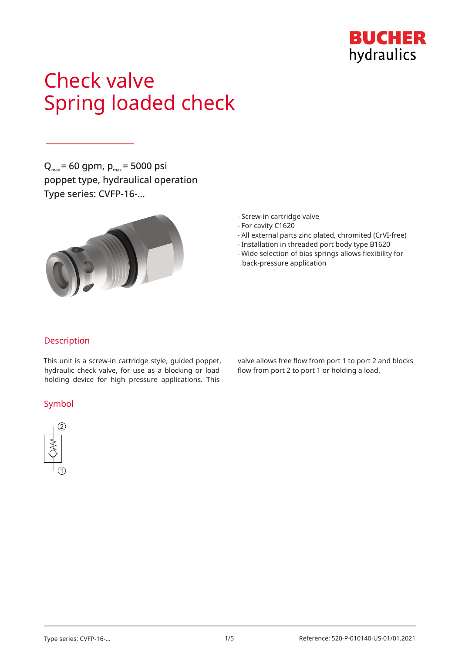

# Check valve Spring loaded check

 $Q_{\text{max}} = 60$  gpm,  $p_{\text{max}} = 5000$  psi poppet type, hydraulical operation Type series: CVFP-16-…



- Screw-in cartridge valve
- For cavity C1620
- All external parts zinc plated, chromited (CrVI-free)
- Installation in threaded port body type B1620
- Wide selection of bias springs allows flexibility for back-pressure application

## Description

This unit is a screw-in cartridge style, guided poppet, hydraulic check valve, for use as a blocking or load holding device for high pressure applications. This

### Symbol



valve allows free flow from port 1 to port 2 and blocks flow from port 2 to port 1 or holding a load.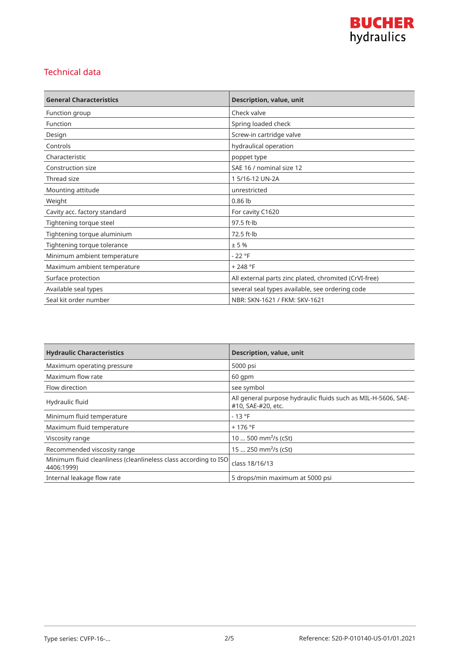

## Technical data

| <b>General Characteristics</b> | Description, value, unit                              |
|--------------------------------|-------------------------------------------------------|
| Function group                 | Check valve                                           |
| Function                       | Spring loaded check                                   |
| Design                         | Screw-in cartridge valve                              |
| Controls                       | hydraulical operation                                 |
| Characteristic                 | poppet type                                           |
| Construction size              | SAE 16 / nominal size 12                              |
| Thread size                    | 1 5/16-12 UN-2A                                       |
| Mounting attitude              | unrestricted                                          |
| Weight                         | $0.86$ lb                                             |
| Cavity acc. factory standard   | For cavity C1620                                      |
| Tightening torque steel        | $97.5$ ft $\cdot$ lb                                  |
| Tightening torque aluminium    | $72.5$ ft $\cdot$ lb                                  |
| Tightening torque tolerance    | ± 5%                                                  |
| Minimum ambient temperature    | $-22$ °F                                              |
| Maximum ambient temperature    | $+248 °F$                                             |
| Surface protection             | All external parts zinc plated, chromited (CrVI-free) |
| Available seal types           | several seal types available, see ordering code       |
| Seal kit order number          | NBR: SKN-1621 / FKM: SKV-1621                         |

| <b>Hydraulic Characteristics</b>                                              | <b>Description, value, unit</b>                                                     |
|-------------------------------------------------------------------------------|-------------------------------------------------------------------------------------|
| Maximum operating pressure                                                    | 5000 psi                                                                            |
| Maximum flow rate                                                             | $60$ qpm                                                                            |
| Flow direction                                                                | see symbol                                                                          |
| Hydraulic fluid                                                               | All general purpose hydraulic fluids such as MIL-H-5606, SAE-<br>#10, SAE-#20, etc. |
| Minimum fluid temperature                                                     | $-13 °F$                                                                            |
| Maximum fluid temperature                                                     | $+176$ °F                                                                           |
| Viscosity range                                                               | 10  500 mm <sup>2</sup> /s (cSt)                                                    |
| Recommended viscosity range                                                   | 15  250 mm <sup>2</sup> /s (cSt)                                                    |
| Minimum fluid cleanliness (cleanlineless class according to ISO<br>4406:1999) | class 18/16/13                                                                      |
| Internal leakage flow rate                                                    | 5 drops/min maximum at 5000 psi                                                     |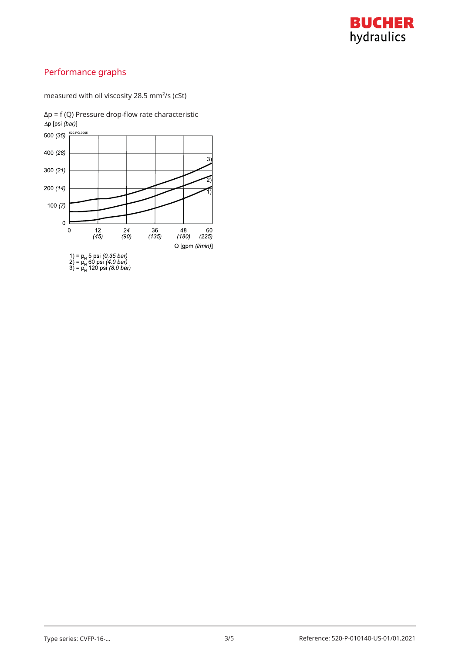

## Performance graphs

measured with oil viscosity 28.5 mm²/s (cSt)



Δp = f (Q) Pressure drop-flow rate characteristic∆p [psi (bar)]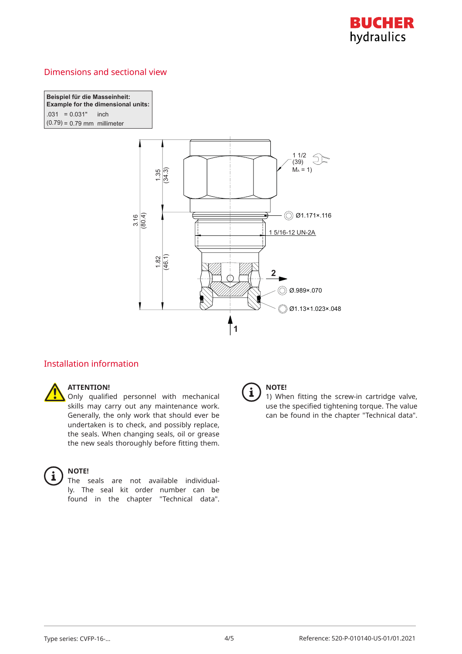

## Dimensions and sectional view

**Beispiel für die Masseinheit: Example for the dimensional units:** *C*( $-0.031$  inch  $(0.79) = 0.79$  mm millimeter



## Installation information



#### **ATTENTION!**

Only qualified personnel with mechanical skills may carry out any maintenance work. Generally, the only work that should ever be undertaken is to check, and possibly replace, the seals. When changing seals, oil or grease the new seals thoroughly before fitting them.



#### **NOTE!**

The seals are not available individually. The seal kit order number can be found in the chapter "Technical data".



## **NOTE!**

1) When fitting the screw-in cartridge valve, use the specified tightening torque. The value can be found in the chapter "Technical data".